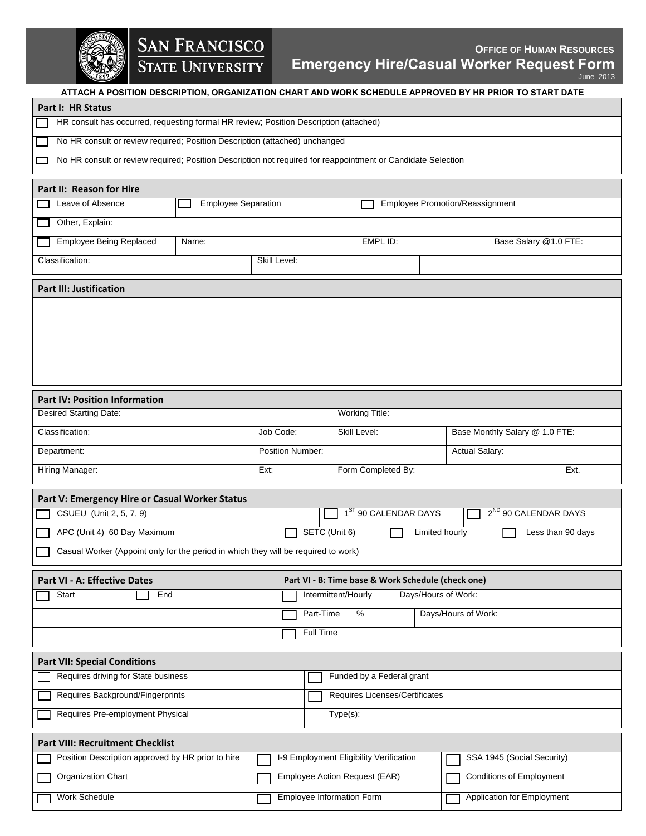

## **SAN FRANCISCO**<br>STATE UNIVERSITY

## *OFFICE OF HUMAN RESOURCES* **Emergency Hire/Casual Worker Request Form** June 2013

| ATTACH A POSITION DESCRIPTION, ORGANIZATION CHART AND WORK SCHEDULE APPROVED BY HR PRIOR TO START DATE                                                                |              |                                                                  |                                                                      |          |  |                                |                            |  |  |
|-----------------------------------------------------------------------------------------------------------------------------------------------------------------------|--------------|------------------------------------------------------------------|----------------------------------------------------------------------|----------|--|--------------------------------|----------------------------|--|--|
| Part I: HR Status                                                                                                                                                     |              |                                                                  |                                                                      |          |  |                                |                            |  |  |
| HR consult has occurred, requesting formal HR review; Position Description (attached)                                                                                 |              |                                                                  |                                                                      |          |  |                                |                            |  |  |
| No HR consult or review required; Position Description (attached) unchanged                                                                                           |              |                                                                  |                                                                      |          |  |                                |                            |  |  |
| No HR consult or review required; Position Description not required for reappointment or Candidate Selection                                                          |              |                                                                  |                                                                      |          |  |                                |                            |  |  |
|                                                                                                                                                                       |              |                                                                  |                                                                      |          |  |                                |                            |  |  |
| Part II: Reason for Hire                                                                                                                                              |              |                                                                  |                                                                      |          |  |                                |                            |  |  |
| Leave of Absence<br><b>Employee Separation</b>                                                                                                                        |              |                                                                  | <b>Employee Promotion/Reassignment</b>                               |          |  |                                |                            |  |  |
| Other, Explain:                                                                                                                                                       |              |                                                                  |                                                                      |          |  |                                |                            |  |  |
| <b>Employee Being Replaced</b><br>Name:                                                                                                                               |              |                                                                  |                                                                      | EMPL ID: |  |                                | Base Salary @1.0 FTE:      |  |  |
| Classification:                                                                                                                                                       | Skill Level: |                                                                  |                                                                      |          |  |                                |                            |  |  |
| <b>Part III: Justification</b>                                                                                                                                        |              |                                                                  |                                                                      |          |  |                                |                            |  |  |
|                                                                                                                                                                       |              |                                                                  |                                                                      |          |  |                                |                            |  |  |
|                                                                                                                                                                       |              |                                                                  |                                                                      |          |  |                                |                            |  |  |
|                                                                                                                                                                       |              |                                                                  |                                                                      |          |  |                                |                            |  |  |
|                                                                                                                                                                       |              |                                                                  |                                                                      |          |  |                                |                            |  |  |
|                                                                                                                                                                       |              |                                                                  |                                                                      |          |  |                                |                            |  |  |
|                                                                                                                                                                       |              |                                                                  |                                                                      |          |  |                                |                            |  |  |
| <b>Part IV: Position Information</b>                                                                                                                                  |              |                                                                  |                                                                      |          |  |                                |                            |  |  |
| Desired Starting Date:                                                                                                                                                |              |                                                                  | Working Title:                                                       |          |  |                                |                            |  |  |
| Classification:                                                                                                                                                       | Job Code:    |                                                                  | Skill Level:                                                         |          |  | Base Monthly Salary @ 1.0 FTE: |                            |  |  |
| Position Number:<br>Department:                                                                                                                                       |              |                                                                  |                                                                      |          |  | Actual Salary:                 |                            |  |  |
| Hiring Manager:<br>Ext:                                                                                                                                               |              | Form Completed By:                                               |                                                                      |          |  | Ext.                           |                            |  |  |
|                                                                                                                                                                       |              |                                                                  |                                                                      |          |  |                                |                            |  |  |
| Part V: Emergency Hire or Casual Worker Status                                                                                                                        |              |                                                                  |                                                                      |          |  |                                |                            |  |  |
| CSUEU (Unit 2, 5, 7, 9)                                                                                                                                               |              |                                                                  | 1 <sup>ST</sup> 90 CALENDAR DAYS<br>2 <sup>ND</sup> 90 CALENDAR DAYS |          |  |                                |                            |  |  |
| APC (Unit 4) 60 Day Maximum<br>SETC (Unit 6)<br><b>Limited hourly</b><br>Less than 90 days                                                                            |              |                                                                  |                                                                      |          |  |                                |                            |  |  |
| Casual Worker (Appoint only for the period in which they will be required to work)                                                                                    |              |                                                                  |                                                                      |          |  |                                |                            |  |  |
| Part VI - A: Effective Dates<br>Part VI - B: Time base & Work Schedule (check one)                                                                                    |              |                                                                  |                                                                      |          |  |                                |                            |  |  |
| Start<br>End                                                                                                                                                          |              |                                                                  | Intermittent/Hourly<br>Days/Hours of Work:                           |          |  |                                |                            |  |  |
|                                                                                                                                                                       |              | Days/Hours of Work:<br>Part-Time<br>$\%$                         |                                                                      |          |  |                                |                            |  |  |
|                                                                                                                                                                       | Full Time    |                                                                  |                                                                      |          |  |                                |                            |  |  |
|                                                                                                                                                                       |              |                                                                  |                                                                      |          |  |                                |                            |  |  |
| <b>Part VII: Special Conditions</b>                                                                                                                                   |              |                                                                  |                                                                      |          |  |                                |                            |  |  |
| Requires driving for State business<br>Funded by a Federal grant                                                                                                      |              |                                                                  |                                                                      |          |  |                                |                            |  |  |
| Requires Background/Fingerprints                                                                                                                                      |              |                                                                  | Requires Licenses/Certificates                                       |          |  |                                |                            |  |  |
| Requires Pre-employment Physical                                                                                                                                      |              |                                                                  | Type(s):                                                             |          |  |                                |                            |  |  |
|                                                                                                                                                                       |              |                                                                  |                                                                      |          |  |                                |                            |  |  |
| <b>Part VIII: Recruitment Checklist</b><br>I-9 Employment Eligibility Verification<br>SSA 1945 (Social Security)<br>Position Description approved by HR prior to hire |              |                                                                  |                                                                      |          |  |                                |                            |  |  |
|                                                                                                                                                                       |              |                                                                  |                                                                      |          |  |                                |                            |  |  |
| Organization Chart                                                                                                                                                    |              | <b>Conditions of Employment</b><br>Employee Action Request (EAR) |                                                                      |          |  |                                |                            |  |  |
| Work Schedule                                                                                                                                                         |              | Employee Information Form                                        |                                                                      |          |  |                                | Application for Employment |  |  |